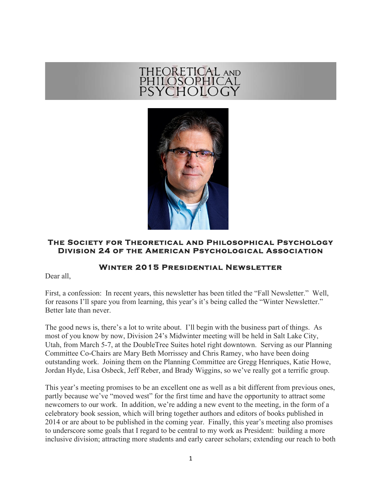## THEORETICAL AND<br>PHILOSOPHICAL<br>PSYCHOLOGY



## **The Society for Theoretical and Philosophical Psychology Division 24 of the American Psychological Association**

## **Winter 2015 Presidential Newsletter**

Dear all,

First, a confession: In recent years, this newsletter has been titled the "Fall Newsletter." Well, for reasons I'll spare you from learning, this year's it's being called the "Winter Newsletter." Better late than never.

The good news is, there's a lot to write about. I'll begin with the business part of things. As most of you know by now, Division 24's Midwinter meeting will be held in Salt Lake City, Utah, from March 5-7, at the DoubleTree Suites hotel right downtown. Serving as our Planning Committee Co-Chairs are Mary Beth Morrissey and Chris Ramey, who have been doing outstanding work. Joining them on the Planning Committee are Gregg Henriques, Katie Howe, Jordan Hyde, Lisa Osbeck, Jeff Reber, and Brady Wiggins, so we've really got a terrific group.

This year's meeting promises to be an excellent one as well as a bit different from previous ones, partly because we've "moved west" for the first time and have the opportunity to attract some newcomers to our work. In addition, we're adding a new event to the meeting, in the form of a celebratory book session, which will bring together authors and editors of books published in 2014 or are about to be published in the coming year. Finally, this year's meeting also promises to underscore some goals that I regard to be central to my work as President: building a more inclusive division; attracting more students and early career scholars; extending our reach to both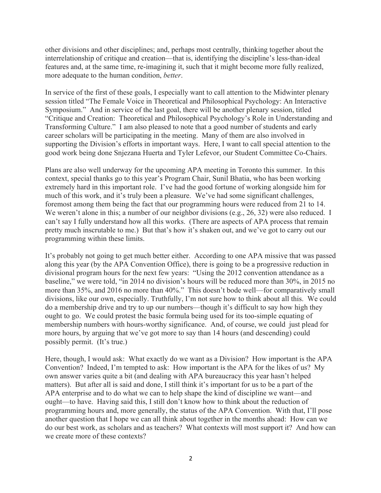other divisions and other disciplines; and, perhaps most centrally, thinking together about the interrelationship of critique and creation—that is, identifying the discipline's less-than-ideal features and, at the same time, re-imagining it, such that it might become more fully realized, more adequate to the human condition, *better*.

In service of the first of these goals, I especially want to call attention to the Midwinter plenary session titled "The Female Voice in Theoretical and Philosophical Psychology: An Interactive Symposium." And in service of the last goal, there will be another plenary session, titled "Critique and Creation: Theoretical and Philosophical Psychology's Role in Understanding and Transforming Culture." I am also pleased to note that a good number of students and early career scholars will be participating in the meeting. Many of them are also involved in supporting the Division's efforts in important ways. Here, I want to call special attention to the good work being done Snjezana Huerta and Tyler Lefevor, our Student Committee Co-Chairs.

Plans are also well underway for the upcoming APA meeting in Toronto this summer. In this context, special thanks go to this year's Program Chair, Sunil Bhatia, who has been working extremely hard in this important role. I've had the good fortune of working alongside him for much of this work, and it's truly been a pleasure. We've had some significant challenges, foremost among them being the fact that our programming hours were reduced from 21 to 14. We weren't alone in this; a number of our neighbor divisions (e.g., 26, 32) were also reduced. I can't say I fully understand how all this works. (There are aspects of APA process that remain pretty much inscrutable to me.) But that's how it's shaken out, and we've got to carry out our programming within these limits.

It's probably not going to get much better either. According to one APA missive that was passed along this year (by the APA Convention Office), there is going to be a progressive reduction in divisional program hours for the next few years: "Using the 2012 convention attendance as a baseline," we were told, "in 2014 no division's hours will be reduced more than 30%, in 2015 no more than 35%, and 2016 no more than 40%." This doesn't bode well—for comparatively small divisions, like our own, especially. Truthfully, I'm not sure how to think about all this. We could do a membership drive and try to up our numbers—though it's difficult to say how high they ought to go. We could protest the basic formula being used for its too-simple equating of membership numbers with hours-worthy significance. And, of course, we could just plead for more hours, by arguing that we've got more to say than 14 hours (and descending) could possibly permit. (It's true.)

Here, though, I would ask: What exactly do we want as a Division? How important is the APA Convention? Indeed, I'm tempted to ask: How important is the APA for the likes of us? My own answer varies quite a bit (and dealing with APA bureaucracy this year hasn't helped matters). But after all is said and done, I still think it's important for us to be a part of the APA enterprise and to do what we can to help shape the kind of discipline we want—and ought—to have. Having said this, I still don't know how to think about the reduction of programming hours and, more generally, the status of the APA Convention. With that, I'll pose another question that I hope we can all think about together in the months ahead: How can we do our best work, as scholars and as teachers? What contexts will most support it? And how can we create more of these contexts?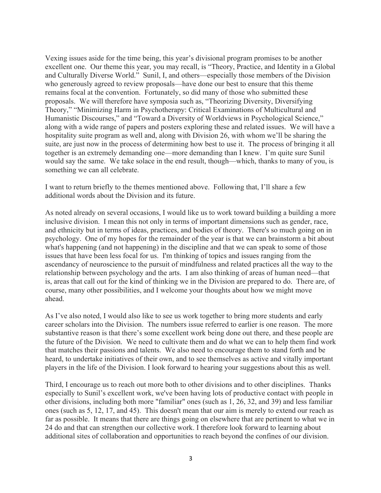Vexing issues aside for the time being, this year's divisional program promises to be another excellent one. Our theme this year, you may recall, is "Theory, Practice, and Identity in a Global and Culturally Diverse World." Sunil, I, and others—especially those members of the Division who generously agreed to review proposals—have done our best to ensure that this theme remains focal at the convention. Fortunately, so did many of those who submitted these proposals. We will therefore have symposia such as, "Theorizing Diversity, Diversifying Theory," "Minimizing Harm in Psychotherapy: Critical Examinations of Multicultural and Humanistic Discourses," and "Toward a Diversity of Worldviews in Psychological Science," along with a wide range of papers and posters exploring these and related issues. We will have a hospitality suite program as well and, along with Division 26, with whom we'll be sharing the suite, are just now in the process of determining how best to use it. The process of bringing it all together is an extremely demanding one—more demanding than I knew. I'm quite sure Sunil would say the same. We take solace in the end result, though—which, thanks to many of you, is something we can all celebrate.

I want to return briefly to the themes mentioned above. Following that, I'll share a few additional words about the Division and its future.

As noted already on several occasions, I would like us to work toward building a building a more inclusive division. I mean this not only in terms of important dimensions such as gender, race, and ethnicity but in terms of ideas, practices, and bodies of theory. There's so much going on in psychology. One of my hopes for the remainder of the year is that we can brainstorm a bit about what's happening (and not happening) in the discipline and that we can speak to some of those issues that have been less focal for us. I'm thinking of topics and issues ranging from the ascendancy of neuroscience to the pursuit of mindfulness and related practices all the way to the relationship between psychology and the arts. I am also thinking of areas of human need—that is, areas that call out for the kind of thinking we in the Division are prepared to do. There are, of course, many other possibilities, and I welcome your thoughts about how we might move ahead.

As I've also noted, I would also like to see us work together to bring more students and early career scholars into the Division. The numbers issue referred to earlier is one reason. The more substantive reason is that there's some excellent work being done out there, and these people are the future of the Division. We need to cultivate them and do what we can to help them find work that matches their passions and talents. We also need to encourage them to stand forth and be heard, to undertake initiatives of their own, and to see themselves as active and vitally important players in the life of the Division. I look forward to hearing your suggestions about this as well.

Third, I encourage us to reach out more both to other divisions and to other disciplines. Thanks especially to Sunil's excellent work, we've been having lots of productive contact with people in other divisions, including both more "familiar" ones (such as 1, 26, 32, and 39) and less familiar ones (such as 5, 12, 17, and 45). This doesn't mean that our aim is merely to extend our reach as far as possible. It means that there are things going on elsewhere that are pertinent to what we in 24 do and that can strengthen our collective work. I therefore look forward to learning about additional sites of collaboration and opportunities to reach beyond the confines of our division.